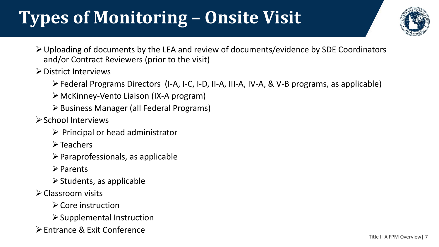## **Types of Monitoring – Onsite Visit**



- ➢Uploading of documents by the LEA and review of documents/evidence by SDE Coordinators and/or Contract Reviewers (prior to the visit)
- ➢District Interviews
	- ➢Federal Programs Directors (I-A, I-C, I-D, II-A, III-A, IV-A, & V-B programs, as applicable)
	- ➢McKinney-Vento Liaison (IX-A program)
	- ➢Business Manager (all Federal Programs)
- ➢School Interviews
	- $\triangleright$  Principal or head administrator
	- ➢Teachers
	- $\triangleright$  Paraprofessionals, as applicable
	- ➢Parents
	- $\triangleright$  Students, as applicable
- ➢Classroom visits
	- ➢Core instruction
	- $\triangleright$  Supplemental Instruction
- ➢Entrance & Exit Conference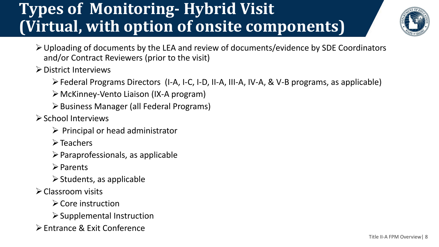#### **Types of Monitoring- Hybrid Visit (Virtual, with option of onsite components)**



- ➢Uploading of documents by the LEA and review of documents/evidence by SDE Coordinators and/or Contract Reviewers (prior to the visit)
- ➢District Interviews
	- ➢Federal Programs Directors (I-A, I-C, I-D, II-A, III-A, IV-A, & V-B programs, as applicable)
	- ➢McKinney-Vento Liaison (IX-A program)
	- ➢Business Manager (all Federal Programs)
- ➢School Interviews
	- $\triangleright$  Principal or head administrator
	- ➢Teachers
	- $\triangleright$  Paraprofessionals, as applicable
	- ➢Parents
	- $\triangleright$  Students, as applicable
- ➢Classroom visits
	- ➢Core instruction
	- ➢Supplemental Instruction
- ➢Entrance & Exit Conference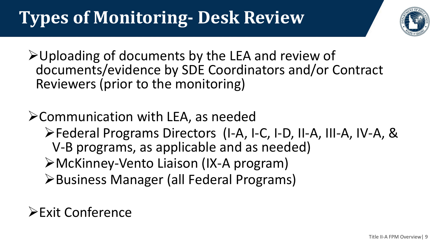## **Types of Monitoring- Desk Review**



➢Uploading of documents by the LEA and review of documents/evidence by SDE Coordinators and/or Contract Reviewers (prior to the monitoring)

➢Communication with LEA, as needed ➢Federal Programs Directors (I-A, I-C, I-D, II-A, III-A, IV-A, & V-B programs, as applicable and as needed) ➢McKinney-Vento Liaison (IX-A program) ➢Business Manager (all Federal Programs)

#### ➢Exit Conference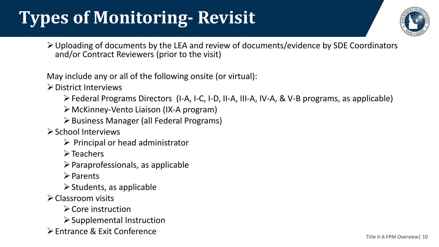## **Types of Monitoring- Revisit**



➢Uploading of documents by the LEA and review of documents/evidence by SDE Coordinators and/or Contract Reviewers (prior to the visit)

May include any or all of the following onsite (or virtual):

➢District Interviews

- ➢Federal Programs Directors (I-A, I-C, I-D, II-A, III-A, IV-A, & V-B programs, as applicable)
- ➢McKinney-Vento Liaison (IX-A program)
- ➢Business Manager (all Federal Programs)

➢School Interviews

- $\triangleright$  Principal or head administrator
- ➢Teachers
- $\triangleright$  Paraprofessionals, as applicable
- ➢Parents
- $\triangleright$  Students, as applicable
- ➢Classroom visits
	- ➢Core instruction
	- ➢Supplemental Instruction
- ➢Entrance & Exit Conference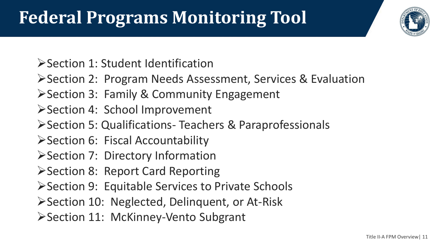## **Federal Programs Monitoring Tool**



➢Section 1: Student Identification

➢Section 2: Program Needs Assessment, Services & Evaluation

- ➢Section 3: Family & Community Engagement
- ➢Section 4: School Improvement

➢Section 5: Qualifications- Teachers & Paraprofessionals

➢Section 6: Fiscal Accountability

➢Section 7: Directory Information

➢Section 8: Report Card Reporting

➢Section 9: Equitable Services to Private Schools

➢Section 10: Neglected, Delinquent, or At-Risk

➢Section 11: McKinney-Vento Subgrant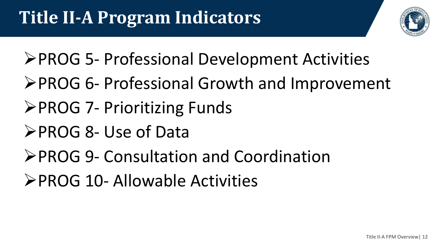

- ➢PROG 5- Professional Development Activities
- ➢PROG 6- Professional Growth and Improvement
- ➢PROG 7- Prioritizing Funds
- ➢PROG 8- Use of Data
- ➢PROG 9- Consultation and Coordination
- ➢PROG 10- Allowable Activities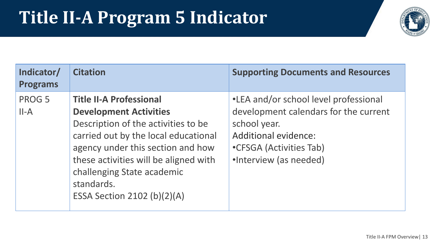#### **Title II-A Program 5 Indicator**



| Indicator/<br><b>Programs</b> | <b>Citation</b>                                                                                                                                                                                                                                                                                         | <b>Supporting Documents and Resources</b>                                                                                                                                          |
|-------------------------------|---------------------------------------------------------------------------------------------------------------------------------------------------------------------------------------------------------------------------------------------------------------------------------------------------------|------------------------------------------------------------------------------------------------------------------------------------------------------------------------------------|
| PROG 5<br>$II-A$              | <b>Title II-A Professional</b><br><b>Development Activities</b><br>Description of the activities to be<br>carried out by the local educational<br>agency under this section and how<br>these activities will be aligned with<br>challenging State academic<br>standards.<br>ESSA Section 2102 (b)(2)(A) | •LEA and/or school level professional<br>development calendars for the current<br>school year.<br><b>Additional evidence:</b><br>•CFSGA (Activities Tab)<br>·Interview (as needed) |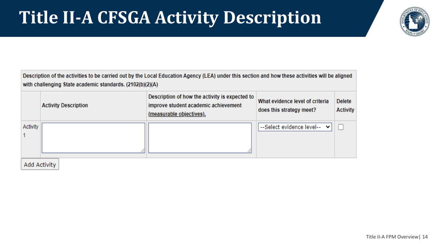#### **Title II-A CFSGA Activity Description**



Description of the activities to be carried out by the Local Education Agency (LEA) under this section and how these activities will be aligned with challenging State academic standards. (2102(b)(2)(A)

|          | <b>Activity Description</b> | Description of how the activity is expected to<br>improve student academic achievement<br>(measurable objectives). | What evidence level of criteria<br>does this strategy meet? | <b>Delete</b><br><b>Activity</b> |
|----------|-----------------------------|--------------------------------------------------------------------------------------------------------------------|-------------------------------------------------------------|----------------------------------|
| Activity |                             |                                                                                                                    | --Select evidence level-- Y                                 |                                  |
|          | المنطق والمعاصم الماليات    |                                                                                                                    |                                                             |                                  |

Add Activity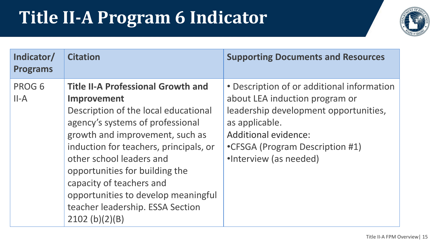#### **Title II-A Program 6 Indicator**



| Indicator/<br><b>Programs</b> | <b>Citation</b>                                                                                                                                                                                                                                                                                                                                                                                          | <b>Supporting Documents and Resources</b>                                                                                                                                                                                           |
|-------------------------------|----------------------------------------------------------------------------------------------------------------------------------------------------------------------------------------------------------------------------------------------------------------------------------------------------------------------------------------------------------------------------------------------------------|-------------------------------------------------------------------------------------------------------------------------------------------------------------------------------------------------------------------------------------|
| PROG 6<br>$II-A$              | <b>Title II-A Professional Growth and</b><br>Improvement<br>Description of the local educational<br>agency's systems of professional<br>growth and improvement, such as<br>induction for teachers, principals, or<br>other school leaders and<br>opportunities for building the<br>capacity of teachers and<br>opportunities to develop meaningful<br>teacher leadership. ESSA Section<br>2102 (b)(2)(B) | • Description of or additional information<br>about LEA induction program or<br>leadership development opportunities,<br>as applicable.<br><b>Additional evidence:</b><br>•CFSGA (Program Description #1)<br>•Interview (as needed) |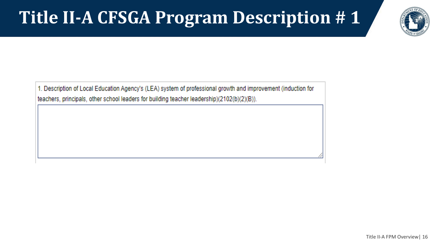#### **Title II-A CFSGA Program Description # 1**



1. Description of Local Education Agency's (LEA) system of professional growth and improvement (induction for teachers, principals, other school leaders for building teacher leadership)(2102(b)(2)(B)).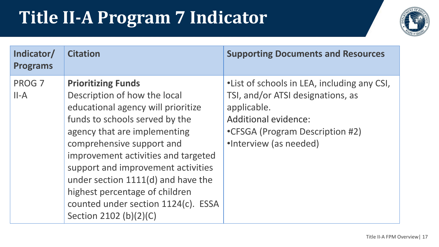## **Title II-A Program 7 Indicator**



| Indicator/<br><b>Programs</b> | <b>Citation</b>                                                                                                                                                                                                                                                                                                                                                                                                      | <b>Supporting Documents and Resources</b>                                                                                                                                                    |
|-------------------------------|----------------------------------------------------------------------------------------------------------------------------------------------------------------------------------------------------------------------------------------------------------------------------------------------------------------------------------------------------------------------------------------------------------------------|----------------------------------------------------------------------------------------------------------------------------------------------------------------------------------------------|
| PROG 7<br>$II-A$              | <b>Prioritizing Funds</b><br>Description of how the local<br>educational agency will prioritize<br>funds to schools served by the<br>agency that are implementing<br>comprehensive support and<br>improvement activities and targeted<br>support and improvement activities<br>under section 1111(d) and have the<br>highest percentage of children<br>counted under section 1124(c). ESSA<br>Section 2102 (b)(2)(C) | • List of schools in LEA, including any CSI,<br>TSI, and/or ATSI designations, as<br>applicable.<br><b>Additional evidence:</b><br>•CFSGA (Program Description #2)<br>•Interview (as needed) |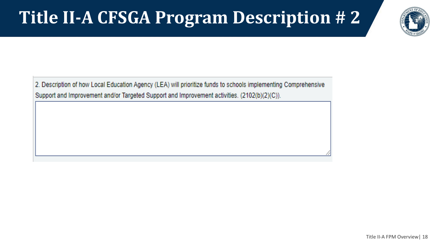#### **Title II-A CFSGA Program Description # 2**



2. Description of how Local Education Agency (LEA) will prioritize funds to schools implementing Comprehensive Support and Improvement and/or Targeted Support and Improvement activities. (2102(b)(2)(C)).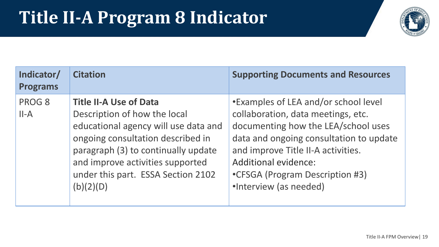#### **Title II-A Program 8 Indicator**



| Indicator/<br><b>Programs</b> | <b>Citation</b>                                                                                                                                                                                                                                                          | <b>Supporting Documents and Resources</b>                                                                                                                                                                                                                                                      |
|-------------------------------|--------------------------------------------------------------------------------------------------------------------------------------------------------------------------------------------------------------------------------------------------------------------------|------------------------------------------------------------------------------------------------------------------------------------------------------------------------------------------------------------------------------------------------------------------------------------------------|
| PROG 8<br>$II-A$              | <b>Title II-A Use of Data</b><br>Description of how the local<br>educational agency will use data and<br>ongoing consultation described in<br>paragraph (3) to continually update<br>and improve activities supported<br>under this part. ESSA Section 2102<br>(b)(2)(D) | •Examples of LEA and/or school level<br>collaboration, data meetings, etc.<br>documenting how the LEA/school uses<br>data and ongoing consultation to update<br>and improve Title II-A activities.<br><b>Additional evidence:</b><br>•CFSGA (Program Description #3)<br>·Interview (as needed) |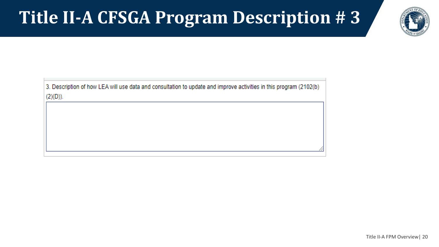#### **Title II-A CFSGA Program Description # 3**



3. Description of how LEA will use data and consultation to update and improve activities in this program (2102(b)  $(2)(D)).$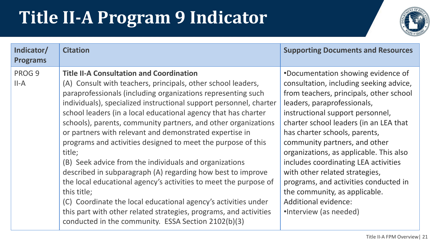## **Title II-A Program 9 Indicator**



| Indicator/<br><b>Programs</b> | <b>Citation</b>                                                                                                                                                                                                                                                                                                                                                                                                                                                                                                                                                                                                                                                                                                                                                                                                                                                                                                                          | <b>Supporting Documents and Resources</b>                                                                                                                                                                                                                                                                                                                                                                                                                                                                                                                |
|-------------------------------|------------------------------------------------------------------------------------------------------------------------------------------------------------------------------------------------------------------------------------------------------------------------------------------------------------------------------------------------------------------------------------------------------------------------------------------------------------------------------------------------------------------------------------------------------------------------------------------------------------------------------------------------------------------------------------------------------------------------------------------------------------------------------------------------------------------------------------------------------------------------------------------------------------------------------------------|----------------------------------------------------------------------------------------------------------------------------------------------------------------------------------------------------------------------------------------------------------------------------------------------------------------------------------------------------------------------------------------------------------------------------------------------------------------------------------------------------------------------------------------------------------|
| PROG 9<br>$II-A$              | <b>Title II-A Consultation and Coordination</b><br>(A) Consult with teachers, principals, other school leaders,<br>paraprofessionals (including organizations representing such<br>individuals), specialized instructional support personnel, charter<br>school leaders (in a local educational agency that has charter<br>schools), parents, community partners, and other organizations<br>or partners with relevant and demonstrated expertise in<br>programs and activities designed to meet the purpose of this<br>title;<br>(B) Seek advice from the individuals and organizations<br>described in subparagraph (A) regarding how best to improve<br>the local educational agency's activities to meet the purpose of<br>this title;<br>(C) Coordinate the local educational agency's activities under<br>this part with other related strategies, programs, and activities<br>conducted in the community. ESSA Section 2102(b)(3) | •Documentation showing evidence of<br>consultation, including seeking advice,<br>from teachers, principals, other school<br>leaders, paraprofessionals,<br>instructional support personnel,<br>charter school leaders (in an LEA that<br>has charter schools, parents,<br>community partners, and other<br>organizations, as applicable. This also<br>includes coordinating LEA activities<br>with other related strategies,<br>programs, and activities conducted in<br>the community, as applicable.<br>Additional evidence:<br>•Interview (as needed) |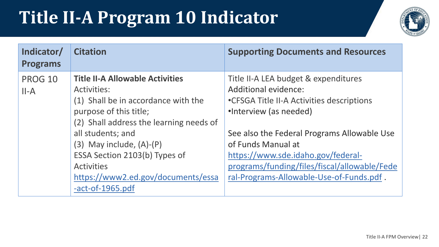#### **Title II-A Program 10 Indicator**



| Indicator/<br><b>Programs</b> | <b>Citation</b>                                                                                                                                                                                                                                                                                                                                     | <b>Supporting Documents and Resources</b>                                                                                                                                                                                                                                                                                                  |
|-------------------------------|-----------------------------------------------------------------------------------------------------------------------------------------------------------------------------------------------------------------------------------------------------------------------------------------------------------------------------------------------------|--------------------------------------------------------------------------------------------------------------------------------------------------------------------------------------------------------------------------------------------------------------------------------------------------------------------------------------------|
| PROG 10<br>$II-A$             | <b>Title II-A Allowable Activities</b><br><b>Activities:</b><br>(1) Shall be in accordance with the<br>purpose of this title;<br>(2) Shall address the learning needs of<br>all students; and<br>$(3)$ May include, $(A)$ - $(P)$<br>ESSA Section 2103(b) Types of<br><b>Activities</b><br>https://www2.ed.gov/documents/essa<br>$-act-of-1965.pdf$ | Title II-A LEA budget & expenditures<br>Additional evidence:<br>•CFSGA Title II-A Activities descriptions<br>•Interview (as needed)<br>See also the Federal Programs Allowable Use<br>of Funds Manual at<br>https://www.sde.idaho.gov/federal-<br>programs/funding/files/fiscal/allowable/Fede<br>ral-Programs-Allowable-Use-of-Funds.pdf. |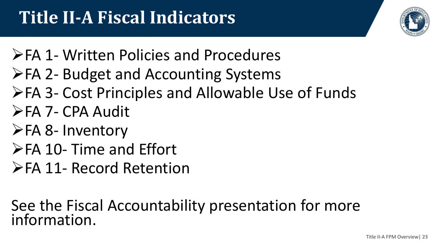

- ➢FA 1- Written Policies and Procedures
- ➢FA 2- Budget and Accounting Systems
- ➢FA 3- Cost Principles and Allowable Use of Funds
- ➢FA 7- CPA Audit
- ➢FA 8- Inventory
- ➢FA 10- Time and Effort
- ➢FA 11- Record Retention

See the Fiscal Accountability presentation for more information.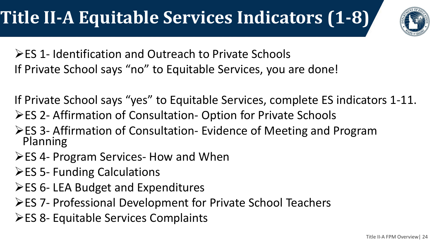

➢ES 1- Identification and Outreach to Private Schools If Private School says "no" to Equitable Services, you are done!

If Private School says "yes" to Equitable Services, complete ES indicators 1-11.

- ➢ES 2- Affirmation of Consultation- Option for Private Schools
- ➢ES 3- Affirmation of Consultation- Evidence of Meeting and Program Planning
- ➢ES 4- Program Services- How and When
- ➢ES 5- Funding Calculations
- ➢ES 6- LEA Budget and Expenditures
- ➢ES 7- Professional Development for Private School Teachers
- ➢ES 8- Equitable Services Complaints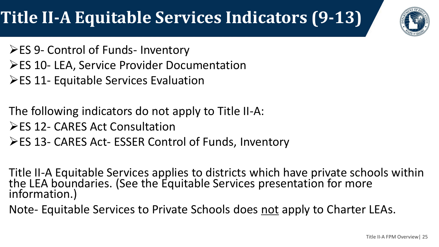#### **Title II-A Equitable Services Indicators (9-13)**



- ➢ES 9- Control of Funds- Inventory
- ➢ES 10- LEA, Service Provider Documentation
- ➢ES 11- Equitable Services Evaluation
- The following indicators do not apply to Title II-A:
- ➢ES 12- CARES Act Consultation
- ➢ES 13- CARES Act- ESSER Control of Funds, Inventory
- Title II-A Equitable Services applies to districts which have private schools within the LEA boundaries. (See the Equitable Services presentation for more information.)
- Note- Equitable Services to Private Schools does not apply to Charter LEAs.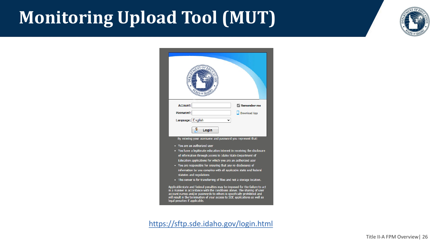#### **Monitoring Upload Tool (MUT)**



|                                                                                                                                   | $T_{E}$ or $\Pi$                                                                                                                                                                                                                                         |                                                                                                                                                                                                                                                                                                                                                                                                                                                                   |
|-----------------------------------------------------------------------------------------------------------------------------------|----------------------------------------------------------------------------------------------------------------------------------------------------------------------------------------------------------------------------------------------------------|-------------------------------------------------------------------------------------------------------------------------------------------------------------------------------------------------------------------------------------------------------------------------------------------------------------------------------------------------------------------------------------------------------------------------------------------------------------------|
| <b>Account:</b>                                                                                                                   |                                                                                                                                                                                                                                                          | Remember me                                                                                                                                                                                                                                                                                                                                                                                                                                                       |
| Password:                                                                                                                         |                                                                                                                                                                                                                                                          | Download App                                                                                                                                                                                                                                                                                                                                                                                                                                                      |
| Language: English                                                                                                                 |                                                                                                                                                                                                                                                          |                                                                                                                                                                                                                                                                                                                                                                                                                                                                   |
|                                                                                                                                   | Login                                                                                                                                                                                                                                                    |                                                                                                                                                                                                                                                                                                                                                                                                                                                                   |
| You are an authorized user<br>statutes and regulations<br>account names and/or passwords to others is specifically prohibited and | By entering your username and password you represent that:<br>of information through access to Idaho State Department of<br>Education applications for which you are an authorized user<br>. You are responsible for ensuring that any re-disclosures of | • You have a legitimate education interest in receiving the disclosure<br>information by you complies with all applicable state and federal<br>• This server is for transferring of files and not a storage location.<br>Applicable state and federal penalties may be imposed for the failure to act<br>in a manner in accordance with the conditions above. The sharing of user<br>will result in the termination of your access to SDE applications as well as |

<https://sftp.sde.idaho.gov/login.html>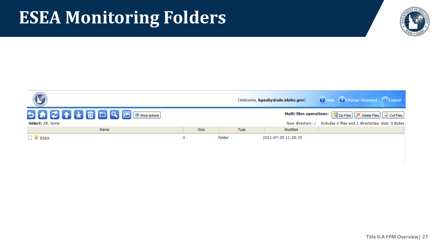#### **ESEA Monitoring Folders**

Select: All, None

 $\Box$  **D** ESEA



2021-07-29 11:28:35

folder

 $\mathbf 0$ 

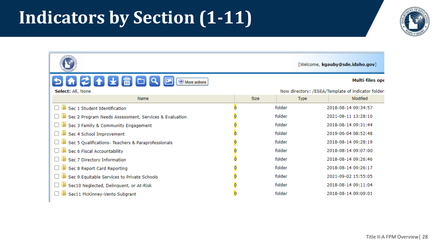#### **Indicators by Section (1-11)**

|                                                       |             |             | [Welcome, kgauby@sde.idaho.gov]                    |
|-------------------------------------------------------|-------------|-------------|----------------------------------------------------|
| <b>þ▌▙▌▛▏▛▏▛▏▒▊</b> ▕▊▏▏<br>$\bigoplus$ More actions  |             |             | Multi-files ope                                    |
| Select: All, None                                     |             |             | Now directory: /ESEA/Template of indicator folder: |
| Name                                                  | <b>Size</b> | <b>Type</b> | Modified                                           |
| Sec 1 Student Identification                          |             | folder      | 2018-08-14 09:34:57                                |
| Sec 2 Program Needs Assessment, Services & Evaluation |             | folder      | 2021-08-11 13:28:10                                |
| Sec 3 Family & Community Engagement                   |             | folder      | 2018-08-14 09:31:44                                |
| Sec 4 School Improvement                              |             | folder      | 2019-06-04 08:52:48                                |
| Sec 5 Qualifications- Teachers & Paraprofessionals    |             | folder      | 2018-08-14 09:28:19                                |
| Sec 6 Fiscal Accountability                           |             | folder      | 2018-08-14 09:07:00                                |
| Sec 7 Directory Information                           |             | folder      | 2018-08-14 09:26:46                                |
| Sec 8 Report Card Reporting                           |             | folder      | 2018-08-14 09:26:17                                |
| Sec 9 Equitable Services to Private Schools           |             | folder      | 2021-09-02 15:55:05                                |
| Sec10 Neglected, Delinquent, or At-Risk               |             | folder      | 2018-08-14 09:11:04                                |
| Sec11 McKinney-Vento Subgrant                         |             | folder      | 2018-08-14 09:09:01                                |

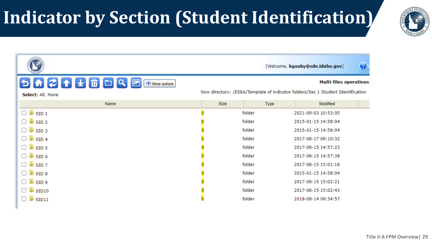## **Indicator by Section (Student Identification)**



|                                                                    |                                                                                                                   |        | $\odot$<br>[Welcome, kgauby@sde.idaho.gov] |  |
|--------------------------------------------------------------------|-------------------------------------------------------------------------------------------------------------------|--------|--------------------------------------------|--|
| <b>5A2↑↓₩</b> □9回<br>$\bigoplus$ More actions<br>Select: All, None | <b>Multi-files operations:</b><br>Now directory: /ESEA/Template of indicator folders/Sec 1 Student Identification |        |                                            |  |
| Name                                                               | <b>Size</b>                                                                                                       | Type   | Modified                                   |  |
| $\Box$ SID 1                                                       |                                                                                                                   | folder | 2021-09-03 10:53:05                        |  |
| $\Box$ SID 2                                                       |                                                                                                                   | folder | 2015-01-15 14:58:04                        |  |
| $\Box$ SID 3                                                       |                                                                                                                   | folder | 2015-01-15 14:58:04                        |  |
| $\Box$ SID 4                                                       |                                                                                                                   | folder | 2017-08-17 09:10:32                        |  |
| $\Box$ SID 5                                                       |                                                                                                                   | folder | 2017-08-15 14:57:23                        |  |
| $\Box$ SID 6                                                       |                                                                                                                   | folder | 2017-08-15 14:57:38                        |  |
| $\Box$ sid 7                                                       |                                                                                                                   | folder | 2017-08-15 15:01:18                        |  |
| $\Box$ SID 8                                                       |                                                                                                                   | folder | 2015-01-15 14:58:04                        |  |
| $\Box$ SID 9                                                       |                                                                                                                   | folder | 2017-08-15 15:02:21                        |  |
| $\mathbb{N}$ SID10<br>П                                            |                                                                                                                   | folder | 2017-08-15 15:02:43                        |  |
| $\mathbb{P}$ SID11<br>U                                            |                                                                                                                   | folder | 2018-08-14 09:34:57                        |  |

Title II-A FPM Overview| 29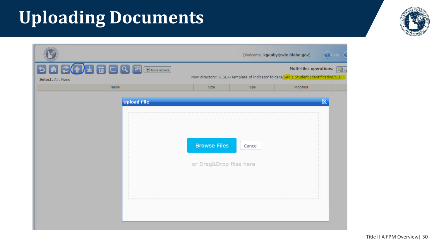# **Uploading Documents**

|                                                                                            |                                                | [Welcome, kgauby@sde.idaho.gov]                                                       |                         | $\bigcirc$ Help |
|--------------------------------------------------------------------------------------------|------------------------------------------------|---------------------------------------------------------------------------------------|-------------------------|-----------------|
| $\n  5 0 2 0 0 0 8 1 0 1 0 1 0 1 0 1 0 1 0 1 0 1 0 1 0 1 0 1 0 1 0 <$<br>Select: All, None |                                                | Now directory: /ESEA/Template of indicator folders/Sec 1 Student Identification/SID 1 | Multi-files operations: | 电zi             |
| Name                                                                                       | <b>Size</b>                                    | Type                                                                                  | Modified                |                 |
| <b>Upload File</b>                                                                         | <b>Browse Files</b><br>or Drag&Drop files here | Cancel                                                                                |                         | ⊠               |

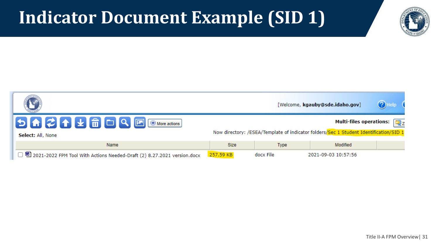#### **Indicator Document Example (SID 1)**



| $(?)$ Help<br>[Welcome, kgauby@sde.idaho.gov]                                  |                                                                                                                                                |           |                     |  |
|--------------------------------------------------------------------------------|------------------------------------------------------------------------------------------------------------------------------------------------|-----------|---------------------|--|
| Select: All, None                                                              | Multi-files operations: $\left[\mathbf{I}\right]_{Z}$<br>Now directory: /ESEA/Template of indicator folders/Sec 1 Student Identification/SID 1 |           |                     |  |
| Name                                                                           | Size                                                                                                                                           | Type      | Modified            |  |
| $\Box$ 2021-2022 FPM Tool With Actions Needed-Draft (2) 8.27.2021 version.docx | 257.59 KB                                                                                                                                      | docx File | 2021-09-03 10:57:56 |  |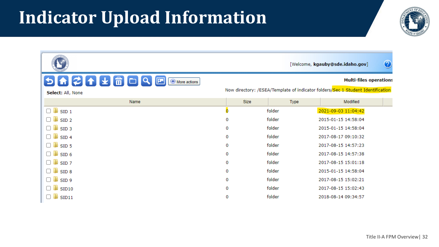#### **Indicator Upload Information**

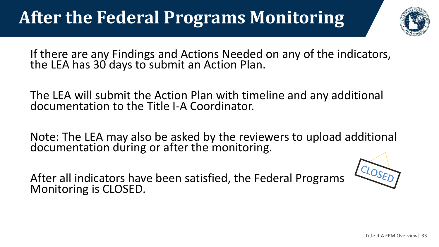## **After the Federal Programs Monitoring**



If there are any Findings and Actions Needed on any of the indicators, the LEA has 30 days to submit an Action Plan.

The LEA will submit the Action Plan with timeline and any additional documentation to the Title I-A Coordinator.

Note: The LEA may also be asked by the reviewers to upload additional documentation during or after the monitoring.

After all indicators have been satisfied, the Federal Programs Monitoring is CLOSED.

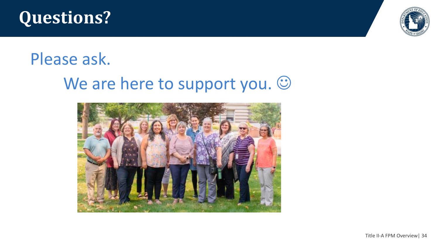



#### Please ask.

#### We are here to support you.  $\odot$